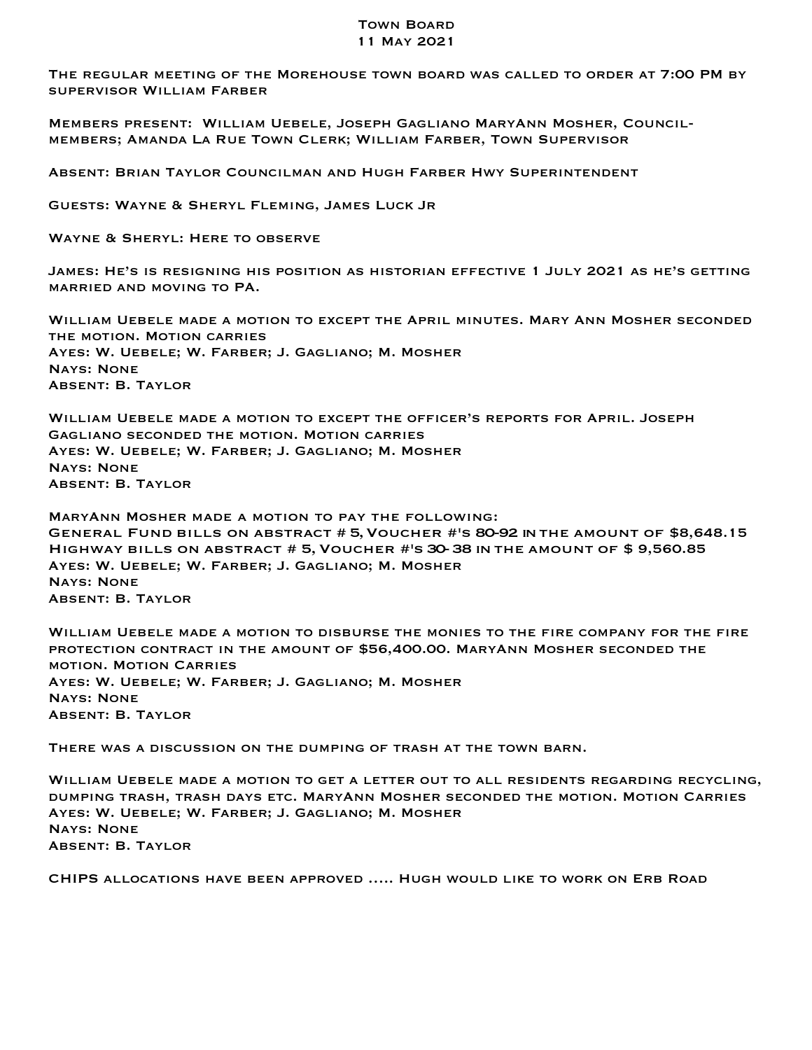## Town Board 11 May 2021

The regular meeting of the Morehouse town board was called to order at 7:00 PM by supervisor William Farber

Members present: William Uebele, Joseph Gagliano MaryAnn Mosher, Councilmembers; Amanda La Rue Town Clerk; William Farber, Town Supervisor

Absent: Brian Taylor Councilman and Hugh Farber Hwy Superintendent

Guests: Wayne & Sheryl Fleming, James Luck Jr

Wayne & Sheryl: Here to observe

James: He's is resigning his position as historian effective 1 July 2021 as he's getting married and moving to PA.

William Uebele made a motion to except the April minutes. Mary Ann Mosher seconded the motion. Motion carries Ayes: W. Uebele; W. Farber; J. Gagliano; M. Mosher Nays: None Absent: B. Taylor

William Uebele made a motion to except the officer's reports for April. Joseph Gagliano seconded the motion. Motion carries Ayes: W. Uebele; W. Farber; J. Gagliano; M. Mosher Nays: None Absent: B. Taylor

MaryAnn Mosher made a motion to pay the following: General Fund bills on abstract # 5,Voucher #'s 80-92 inthe amount of \$8,648.15 Highway bills on abstract # 5,Voucher #'s 30-38 inthe amount of \$ 9,560.85 Ayes: W. Uebele; W. Farber; J. Gagliano; M. Mosher Nays: None Absent: B. Taylor

William Uebele made a motion to disburse the monies to the fire company for the fire protection contract in the amount of \$56,400.00. MaryAnn Mosher seconded the motion. Motion Carries Ayes: W. Uebele; W. Farber; J. Gagliano; M. Mosher Nays: None Absent: B. Taylor

There was a discussion on the dumping of trash at the town barn.

William Uebele made a motion to get a letter out to all residents regarding recycling, dumping trash, trash days etc. MaryAnn Mosher seconded the motion. Motion Carries Ayes: W. Uebele; W. Farber; J. Gagliano; M. Mosher Nays: None Absent: B. Taylor

CHIPS allocations have been approved ….. Hugh would like to work on Erb Road